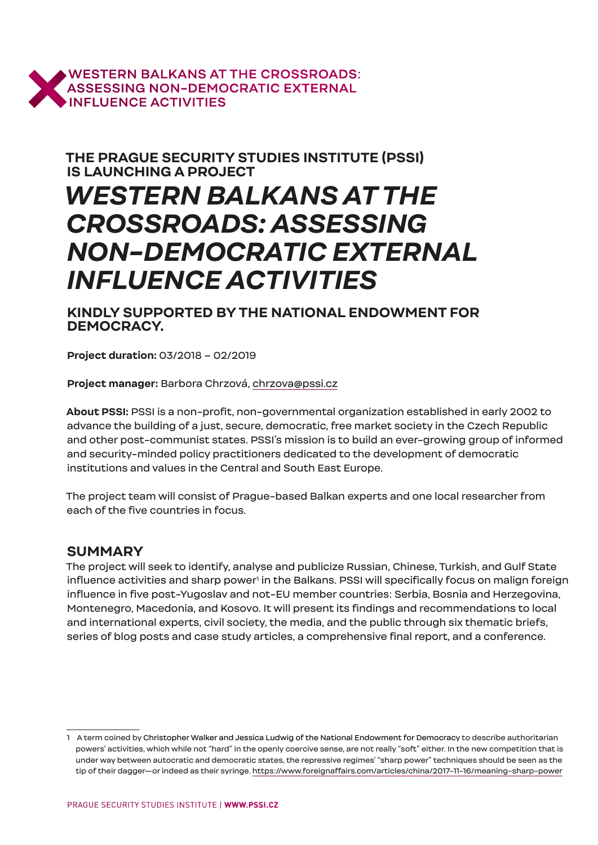

**THE PRAGUE SECURITY STUDIES INSTITUTE (PSSI) IS LAUNCHING A PROJECT**

# *WESTERN BALKANS AT THE CROSSROADS: ASSESSING NON-DEMOCRATIC EXTERNAL INFLUENCE ACTIVITIES*

**KINDLY SUPPORTED BY THE NATIONAL ENDOWMENT FOR DEMOCRACY.**

**Project duration:** 03/2018 – 02/2019

**Project manager:** Barbora Chrzová, chrzova@pssi.cz

**About PSSI:** PSSI is a non-profit, non-governmental organization established in early 2002 to advance the building of a just, secure, democratic, free market society in the Czech Republic and other post-communist states. PSSI's mission is to build an ever-growing group of informed and security-minded policy practitioners dedicated to the development of democratic institutions and values in the Central and South East Europe.

The project team will consist of Prague-based Balkan experts and one local researcher from each of the five countries in focus.

### **SUMMARY**

The project will seek to identify, analyse and publicize Russian, Chinese, Turkish, and Gulf State influence activities and sharp power $^{\rm l}$  in the Balkans. PSSI will specifically focus on malign foreign influence in five post-Yugoslav and not-EU member countries: Serbia, Bosnia and Herzegovina, Montenegro, Macedonia, and Kosovo. It will present its findings and recommendations to local and international experts, civil society, the media, and the public through six thematic briefs, series of blog posts and case study articles, a comprehensive final report, and a conference.

<sup>1</sup> A term coined by Christopher Walker and Jessica Ludwig of the National Endowment for Democracy to describe authoritarian powers' activities, which while not "hard" in the openly coercive sense, are not really "soft" either. In the new competition that is under way between autocratic and democratic states, the repressive regimes' "sharp power" techniques should be seen as the tip of their dagger—or indeed as their syringe. https://www.foreignaffairs.com/articles/china/2017-11-16/meaning-sharp-power